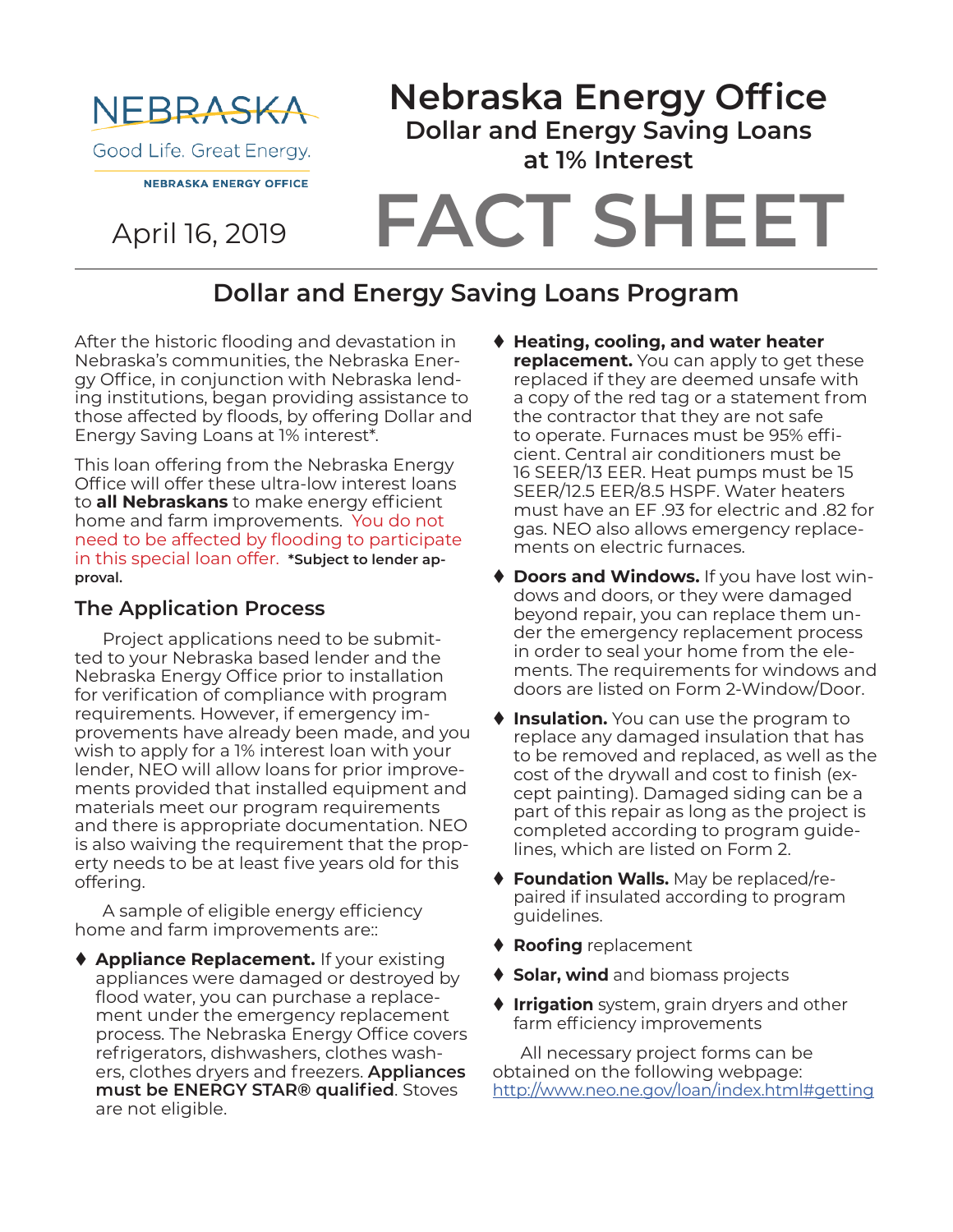

April 16, 2019

# **FACT SHEET Nebraska Energy Office Dollar and Energy Saving Loans at 1% Interest**

## **Dollar and Energy Saving Loans Program**

After the historic flooding and devastation in Nebraska's communities, the Nebraska Energy Office, in conjunction with Nebraska lending institutions, began providing assistance to those affected by floods, by offering Dollar and Energy Saving Loans at 1% interest\*.

This loan offering from the Nebraska Energy Office will offer these ultra-low interest loans to **all Nebraskans** to make energy efficient home and farm improvements. You do not need to be affected by flooding to participate in this special loan offer. **\*Subject to lender approval.**

#### **The Application Process**

Project applications need to be submitted to your Nebraska based lender and the Nebraska Energy Office prior to installation for verification of compliance with program requirements. However, if emergency improvements have already been made, and you wish to apply for a 1% interest loan with your lender, NEO will allow loans for prior improvements provided that installed equipment and materials meet our program requirements and there is appropriate documentation. NEO is also waiving the requirement that the property needs to be at least five years old for this offering.

A sample of eligible energy efficiency home and farm improvements are::

◆ **Appliance Replacement.** If your existing appliances were damaged or destroyed by flood water, you can purchase a replacement under the emergency replacement process. The Nebraska Energy Office covers refrigerators, dishwashers, clothes washers, clothes dryers and freezers. **Appliances must be ENERGY STAR® qualified**. Stoves are not eligible.

- ◆ Heating, cooling, and water heater **replacement.** You can apply to get these replaced if they are deemed unsafe with a copy of the red tag or a statement from the contractor that they are not safe to operate. Furnaces must be 95% efficient. Central air conditioners must be 16 SEER/13 EER. Heat pumps must be 15 SEER/12.5 EER/8.5 HSPF. Water heaters must have an EF .93 for electric and .82 for gas. NEO also allows emergency replacements on electric furnaces.
- **Doors and Windows.** If you have lost windows and doors, or they were damaged beyond repair, you can replace them under the emergency replacement process in order to seal your home from the elements. The requirements for windows and doors are listed on Form 2-Window/Door.
- ♦ Insulation. You can use the program to replace any damaged insulation that has to be removed and replaced, as well as the cost of the drywall and cost to finish (except painting). Damaged siding can be a part of this repair as long as the project is completed according to program guidelines, which are listed on Form 2.
- ◆ Foundation Walls. May be replaced/repaired if insulated according to program guidelines.
- ♦ Roofing replacement
- $\bullet$  **Solar, wind** and biomass projects
- **Irrigation** system, grain dryers and other farm efficiency improvements

All necessary project forms can be obtained on the following webpage: http://www.neo.ne.gov/loan/index.html#getting